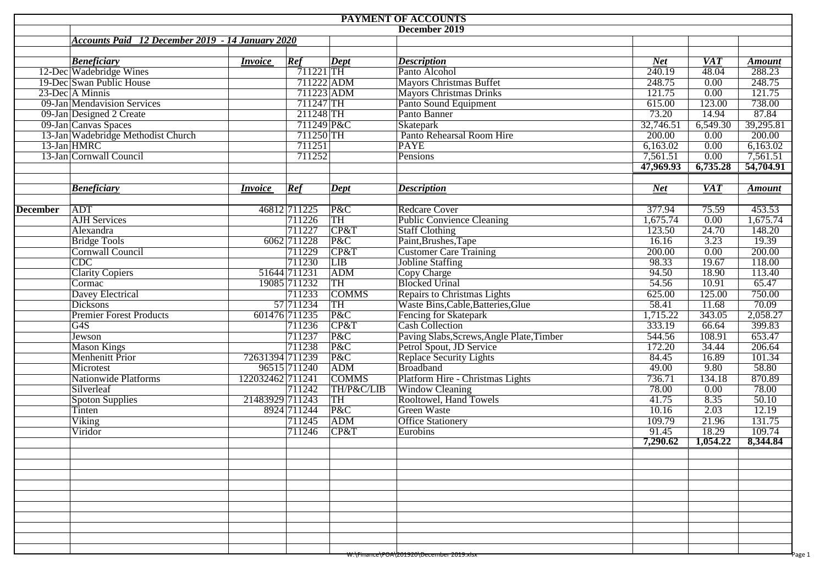| <b>PAYMENT OF ACCOUNTS</b> |                                                         |                  |              |                               |                                           |            |                  |               |  |  |  |
|----------------------------|---------------------------------------------------------|------------------|--------------|-------------------------------|-------------------------------------------|------------|------------------|---------------|--|--|--|
| December 2019              |                                                         |                  |              |                               |                                           |            |                  |               |  |  |  |
|                            | <b>Accounts Paid 12 December 2019 - 14 January 2020</b> |                  |              |                               |                                           |            |                  |               |  |  |  |
|                            |                                                         |                  |              |                               |                                           |            |                  |               |  |  |  |
|                            | <b>Beneficiary</b>                                      | <i>Invoice</i>   | Ref          | $\overline{Dept}$             | <b>Description</b>                        | <b>Net</b> | $\overline{VAT}$ | <b>Amount</b> |  |  |  |
|                            | 12-Dec Wadebridge Wines                                 |                  | $711221$ TH  |                               | Panto Alcohol                             | 240.19     | 48.04            | 288.23        |  |  |  |
|                            | 19-Dec Swan Public House                                |                  | 711222 ADM   |                               | <b>Mayors Christmas Buffet</b>            | 248.75     | 0.00             | 248.75        |  |  |  |
|                            | 23-Dec A Minnis                                         |                  | 711223 ADM   |                               | <b>Mayors Christmas Drinks</b>            | 121.75     | 0.00             | 121.75        |  |  |  |
|                            | 09-Jan Mendavision Services                             |                  | 711247 TH    |                               | Panto Sound Equipment                     | 615.00     | 123.00           | 738.00        |  |  |  |
|                            | 09-Jan Designed 2 Create                                |                  | 211248 TH    |                               | Panto Banner                              | 73.20      | 14.94            | 87.84         |  |  |  |
|                            | 09-Jan Canvas Spaces                                    |                  | 711249 P&C   |                               | Skatepark                                 | 32,746.51  | 6,549.30         | 39,295.81     |  |  |  |
|                            | 13-Jan Wadebridge Methodist Church                      |                  | 711250 TH    |                               | Panto Rehearsal Room Hire                 | 200.00     | 0.00             | 200.00        |  |  |  |
|                            | 13-Jan HMRC                                             |                  | 711251       |                               | <b>PAYE</b>                               | 6,163.02   | 0.00             | 6,163.02      |  |  |  |
|                            | 13-Jan Cornwall Council                                 |                  | 711252       |                               | Pensions                                  | 7,561.51   | 0.00             | 7,561.51      |  |  |  |
|                            |                                                         |                  |              |                               |                                           | 47,969.93  | 6,735.28         | 54,704.91     |  |  |  |
|                            |                                                         | <i>Invoice</i>   |              |                               |                                           | <b>Net</b> | $\overline{VAT}$ |               |  |  |  |
|                            | <b>Beneficiary</b>                                      |                  | Ref          | $\boldsymbol{\mathrm{Depth}}$ | <b>Description</b>                        |            |                  | <b>Amount</b> |  |  |  |
| <b>December</b>            | <b>ADT</b>                                              |                  | 46812 711225 | P&C                           | <b>Redcare Cover</b>                      | 377.94     | 75.59            | 453.53        |  |  |  |
|                            | <b>AJH</b> Services                                     |                  | 711226       | TH                            | <b>Public Convience Cleaning</b>          | 1,675.74   | 0.00             | 1,675.74      |  |  |  |
|                            | Alexandra                                               |                  | 711227       | CP&T                          | <b>Staff Clothing</b>                     | 123.50     | 24.70            | 148.20        |  |  |  |
|                            | <b>Bridge Tools</b>                                     |                  | 6062 711228  | P&C                           | Paint, Brushes, Tape                      | 16.16      | 3.23             | 19.39         |  |  |  |
|                            | Cornwall Council                                        |                  | 711229       | CP&T                          | <b>Customer Care Training</b>             | 200.00     | 0.00             | 200.00        |  |  |  |
|                            | $\overline{CDC}$                                        |                  | 711230       | LIB                           | <b>Jobline Staffing</b>                   | 98.33      | 19.67            | 118.00        |  |  |  |
|                            | <b>Clarity Copiers</b>                                  | 51644 711231     |              | ADM                           | <b>Copy Charge</b>                        | 94.50      | 18.90            | 113.40        |  |  |  |
|                            | Cormac                                                  |                  | 19085 711232 | TH                            | <b>Blocked Urinal</b>                     | 54.56      | 10.91            | 65.47         |  |  |  |
|                            | <b>Davey Electrical</b>                                 |                  | 711233       | <b>COMMS</b>                  | Repairs to Christmas Lights               | 625.00     | 125.00           | 750.00        |  |  |  |
|                            | <b>Dicksons</b>                                         |                  | 57 711234    | TH                            | Waste Bins, Cable, Batteries, Glue        | 58.41      | 11.68            | 70.09         |  |  |  |
|                            | <b>Premier Forest Products</b>                          | 601476 711235    |              | P&C                           | Fencing for Skatepark                     | 1,715.22   | 343.05           | 2,058.27      |  |  |  |
|                            | $\overline{G4S}$                                        |                  | 711236       | CP&T                          | <b>Cash Collection</b>                    | 333.19     | 66.64            | 399.83        |  |  |  |
|                            | Jewson                                                  |                  | 711237       | P&C                           | Paving Slabs, Screws, Angle Plate, Timber | 544.56     | 108.91           | 653.47        |  |  |  |
|                            | <b>Mason Kings</b>                                      |                  | 711238       | P&C                           | Petrol Spout, JD Service                  | 172.20     | 34.44            | 206.64        |  |  |  |
|                            | Menhenitt Prior                                         | 72631394 711239  |              | P&C                           | Replace Security Lights                   | 84.45      | 16.89            | 101.34        |  |  |  |
|                            | Microtest                                               |                  | 96515 711240 | ADM                           | Broadband                                 | 49.00      | 9.80             | 58.80         |  |  |  |
|                            | <b>Nationwide Platforms</b>                             | 122032462 711241 |              | <b>COMMS</b>                  | Platform Hire - Christmas Lights          | 736.71     | 134.18           | 870.89        |  |  |  |
|                            | Silverleaf                                              |                  | 711242       | TH/P&C/LIB                    | <b>Window Cleaning</b>                    | 78.00      | 0.00             | 78.00         |  |  |  |
|                            | <b>Spoton Supplies</b>                                  | 21483929 711243  |              | TH                            | Rooltowel, Hand Towels                    | 41.75      | 8.35             | 50.10         |  |  |  |
|                            | Tinten                                                  |                  | 8924 711244  | P&C                           | <b>Green Waste</b>                        | 10.16      | 2.03             | 12.19         |  |  |  |
|                            | Viking                                                  |                  | 711245       | ADM                           | <b>Office Stationery</b>                  | 109.79     | 21.96            | 131.75        |  |  |  |
|                            | Viridor                                                 |                  | 711246       | CP&T                          | Eurobins                                  | 91.45      | 18.29            | 109.74        |  |  |  |
|                            |                                                         |                  |              |                               |                                           | 7,290.62   | 1,054.22         | 8,344.84      |  |  |  |
|                            |                                                         |                  |              |                               |                                           |            |                  |               |  |  |  |
|                            |                                                         |                  |              |                               |                                           |            |                  |               |  |  |  |
|                            |                                                         |                  |              |                               |                                           |            |                  |               |  |  |  |
|                            |                                                         |                  |              |                               |                                           |            |                  |               |  |  |  |
|                            |                                                         |                  |              |                               |                                           |            |                  |               |  |  |  |
|                            |                                                         |                  |              |                               |                                           |            |                  |               |  |  |  |
|                            |                                                         |                  |              |                               |                                           |            |                  |               |  |  |  |
|                            |                                                         |                  |              |                               |                                           |            |                  |               |  |  |  |
|                            |                                                         |                  |              |                               |                                           |            |                  |               |  |  |  |
|                            |                                                         |                  |              |                               |                                           |            |                  |               |  |  |  |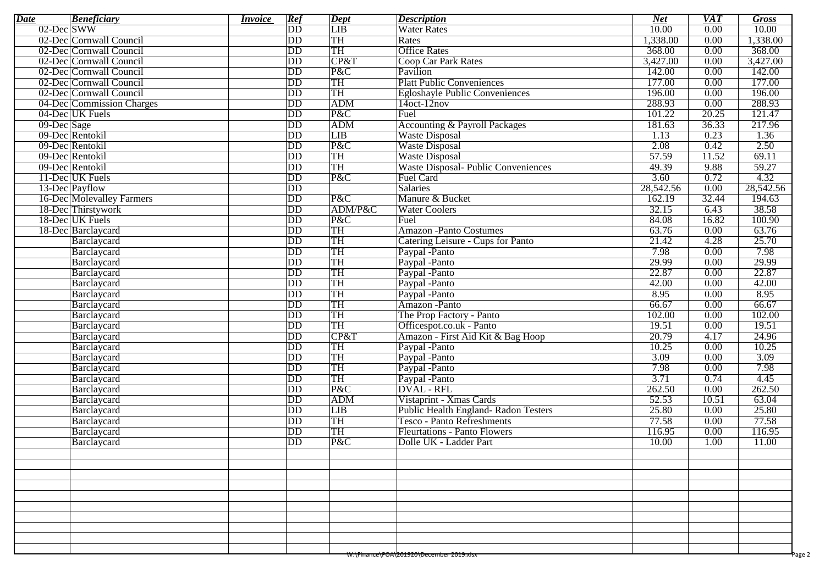| <b>Date</b>                                        | <b>Beneficiary</b>               | <i>Invoice</i> | Ref                      | <b>Dept</b>      | <b>Description</b>                    | <b>Net</b> | <b>VAT</b> | <b>Gross</b>     |  |
|----------------------------------------------------|----------------------------------|----------------|--------------------------|------------------|---------------------------------------|------------|------------|------------------|--|
| $02$ -Dec SWW                                      |                                  |                | $\overline{DD}$          | $\overline{LIB}$ | Water Rates                           | 10.00      | 0.00       | $\frac{10.00}{}$ |  |
|                                                    | 02-Dec Cornwall Council          |                | DD                       | <b>TH</b>        | Rates                                 | 1,338.00   | 0.00       | 1,338.00         |  |
|                                                    | 02-Dec Cornwall Council          |                | $\overline{DD}$          | TH               | <b>Office Rates</b>                   | 368.00     | 0.00       | 368.00           |  |
|                                                    | 02-Dec Cornwall Council          |                | $\overline{DD}$          | CP&T             | Coop Car Park Rates                   | 3,427.00   | 0.00       | 3,427.00         |  |
|                                                    | 02-Dec Cornwall Council          |                | $\overline{DD}$          | P&C              | Pavilion                              | 142.00     | 0.00       | 142.00           |  |
|                                                    | 02-Dec Cornwall Council          |                | $\overline{DD}$          | <b>TH</b>        | <b>Platt Public Conveniences</b>      | 177.00     | 0.00       | 177.00           |  |
|                                                    | 02-Dec Cornwall Council          |                | $\overline{DD}$          | TH               | <b>Egloshayle Public Conveniences</b> | 196.00     | 0.00       | 196.00           |  |
|                                                    | 04-Dec Commission Charges        |                | $\overline{DD}$          | <b>ADM</b>       | $14$ oct- $12$ nov                    | 288.93     | 0.00       | 288.93           |  |
|                                                    | 04-Dec UK Fuels                  |                | $\overline{DD}$          | P&C              | Fuel                                  | 101.22     | 20.25      | 121.47           |  |
| 09-Dec Sage                                        |                                  |                | DD                       | <b>ADM</b>       | Accounting & Payroll Packages         | 181.63     | 36.33      | 217.96           |  |
|                                                    | 09-Dec Rentokil                  |                | $\overline{DD}$          | LIB              | <b>Waste Disposal</b>                 | 1.13       | 0.23       | 1.36             |  |
|                                                    | 09-Dec Rentokil                  |                | $\overline{DD}$          | P&C              | <b>Waste Disposal</b>                 | 2.08       | 0.42       | 2.50             |  |
|                                                    | 09-Dec Rentokil                  |                | $\overline{DD}$          | <b>TH</b>        | Waste Disposal                        | 57.59      | 11.52      | 69.11            |  |
|                                                    | 09-Dec Rentokil                  |                | $\overline{DD}$          | TH               | Waste Disposal- Public Conveniences   | 49.39      | 9.88       | 59.27            |  |
|                                                    | 11-Dec UK Fuels                  |                | DD                       | P&C              | Fuel Card                             | 3.60       | 0.72       | 4.32             |  |
|                                                    | 13-Dec Payflow                   |                | $\overline{DD}$          |                  | Salaries                              | 28,542.56  | 0.00       | 28,542.56        |  |
|                                                    | <b>16-Dec Molevalley Farmers</b> |                | $\overline{DD}$          | P&C              | Manure & Bucket                       | 162.19     | 32.44      | 194.63           |  |
|                                                    | 18-Dec Thirstywork               |                | $\overline{DD}$          | ADM/P&C          | <b>Water Coolers</b>                  | 32.15      | 6.43       | 38.58            |  |
|                                                    | 18-Dec UK Fuels                  |                | $\overline{DD}$          | P&C              | Fuel                                  | 84.08      | 16.82      | 100.90           |  |
|                                                    | 18-Dec Barclaycard               |                | DD                       | <b>TH</b>        | <b>Amazon -Panto Costumes</b>         | 63.76      | 0.00       | 63.76            |  |
|                                                    | Barclaycard                      |                | DD                       | TH               | Catering Leisure - Cups for Panto     | 21.42      | 4.28       | 25.70            |  |
|                                                    | Barclaycard                      |                | $\overline{DD}$          | <b>TH</b>        | Paypal - Panto                        | 7.98       | 0.00       | 7.98             |  |
|                                                    | Barclaycard                      |                | $\overline{DD}$          | <b>TH</b>        | Paypal -Panto                         | 29.99      | 0.00       | 29.99            |  |
|                                                    | Barclaycard                      |                | $\overline{DD}$          | TH               | Paypal -Panto                         | 22.87      | 0.00       | 22.87            |  |
|                                                    | Barclaycard                      |                | DD                       | <b>TH</b>        | Paypal -Panto                         | 42.00      | 0.00       | 42.00            |  |
|                                                    | Barclaycard                      |                | DD                       | TH               | Paypal -Panto                         | 8.95       | 0.00       | 8.95             |  |
|                                                    | Barclaycard                      |                | $\overline{DD}$          | <b>TH</b>        | Amazon -Panto                         | 66.67      | 0.00       | 66.67            |  |
|                                                    | Barclaycard                      |                | $\overline{DD}$          | TH               | The Prop Factory - Panto              | 102.00     | 0.00       | 102.00           |  |
|                                                    | Barclaycard                      |                | $\overline{DD}$          | TH               | Officespot.co.uk - Panto              | 19.51      | 0.00       | 19.51            |  |
|                                                    | Barclaycard                      |                | DD                       | CP&T             | Amazon - First Aid Kit & Bag Hoop     | 20.79      | 4.17       | 24.96            |  |
|                                                    | Barclaycard                      |                | $\overline{DD}$          | <b>TH</b>        | Paypal -Panto                         | 10.25      | 0.00       | 10.25            |  |
|                                                    | Barclaycard                      |                | DD                       | <b>TH</b>        | Paypal -Panto                         | 3.09       | 0.00       | 3.09             |  |
|                                                    | Barclaycard                      |                | $\overline{DD}$          | TH               | Paypal -Panto                         | 7.98       | 0.00       | 7.98             |  |
|                                                    | Barclaycard                      |                | $\overline{\mathrm{DD}}$ | <b>TH</b>        | Paypal -Panto                         | 3.71       | 0.74       | 4.45             |  |
|                                                    | Barclaycard                      |                | $\overline{DD}$          | P&C              | <b>DVAL</b> - RFL                     | 262.50     | 0.00       | 262.50           |  |
|                                                    | Barclaycard                      |                | $\overline{DD}$          | <b>ADM</b>       | Vistaprint - Xmas Cards               | 52.53      | 10.51      | 63.04            |  |
|                                                    | Barclaycard                      |                | DD                       | LIB              | Public Health England-Radon Testers   | 25.80      | 0.00       | 25.80            |  |
|                                                    | Barclaycard                      |                | DD                       | TH               | <b>Tesco - Panto Refreshments</b>     | 77.58      | 0.00       | 77.58            |  |
|                                                    | Barclaycard                      |                | $\overline{DD}$          | <b>TH</b>        | <b>Fleurtations - Panto Flowers</b>   | 116.95     | 0.00       | 116.95           |  |
|                                                    | Barclaycard                      |                | $\overline{DD}$          | P&C              | Dolle UK - Ladder Part                | 10.00      | 1.00       | 11.00            |  |
|                                                    |                                  |                |                          |                  |                                       |            |            |                  |  |
|                                                    |                                  |                |                          |                  |                                       |            |            |                  |  |
|                                                    |                                  |                |                          |                  |                                       |            |            |                  |  |
|                                                    |                                  |                |                          |                  |                                       |            |            |                  |  |
|                                                    |                                  |                |                          |                  |                                       |            |            |                  |  |
|                                                    |                                  |                |                          |                  |                                       |            |            |                  |  |
|                                                    |                                  |                |                          |                  |                                       |            |            |                  |  |
|                                                    |                                  |                |                          |                  |                                       |            |            |                  |  |
|                                                    |                                  |                |                          |                  |                                       |            |            |                  |  |
|                                                    |                                  |                |                          |                  |                                       |            |            |                  |  |
| Page 2<br>W:\Finance\POA\201920\December 2019.xisx |                                  |                |                          |                  |                                       |            |            |                  |  |